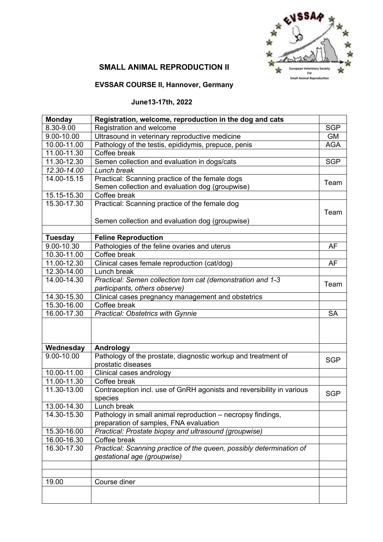

# **SMALL ANIMAL REPRODUCTION II**

### **EVSSAR COURSE II, Hannover, Germany**

# **June13-17th, 2022**

| <b>Monday</b>   | Registration, welcome, reproduction in the dog and cats               |            |
|-----------------|-----------------------------------------------------------------------|------------|
| 8.30-9.00       | Registration and welcome                                              | <b>SGP</b> |
| 9.00-10.00      | Ultrasound in veterinary reproductive medicine                        | <b>GM</b>  |
| 10.00-11.00     | Pathology of the testis, epididymis, prepuce, penis                   | <b>AGA</b> |
| 11.00-11.30     | Coffee break                                                          |            |
| 11.30-12.30     | Semen collection and evaluation in dogs/cats                          | <b>SGP</b> |
| 12.30-14.00     | Lunch break                                                           |            |
| 14.00-15.15     | Practical: Scanning practice of the female dogs                       |            |
|                 | Semen collection and evaluation dog (groupwise)                       | Team       |
| 15.15-15.30     | Coffee break                                                          |            |
| 15.30-17.30     | Practical: Scanning practice of the female dog                        |            |
|                 |                                                                       | Team       |
|                 | Semen collection and evaluation dog (groupwise)                       |            |
|                 |                                                                       |            |
| <b>Tuesday</b>  | <b>Feline Reproduction</b>                                            |            |
| 9.00-10.30      | Pathologies of the feline ovaries and uterus                          | <b>AF</b>  |
| 10.30-11.00     | Coffee break                                                          |            |
| 11.00-12.30     | Clinical cases female reproduction (cat/dog)                          | AF         |
| 12.30-14.00     | Lunch break                                                           |            |
| 14.00-14.30     | Practical: Semen collection tom cat (demonstration and 1-3            |            |
|                 | participants, others observe)                                         | Team       |
| 14.30-15.30     | Clinical cases pregnancy management and obstetrics                    |            |
| 15.30-16.00     | Coffee break                                                          |            |
| 16.00-17.30     | <b>Practical: Obstetrics with Gynnie</b>                              | <b>SA</b>  |
|                 |                                                                       |            |
| Wednesday       | Andrology                                                             |            |
| 9.00-10.00      | Pathology of the prostate, diagnostic workup and treatment of         |            |
|                 | prostatic diseases                                                    | <b>SGP</b> |
| 10.00-11.00     | Clinical cases andrology                                              |            |
| 11.00-11.30     | Coffee break                                                          |            |
| 11.30-13.00     | Contraception incl. use of GnRH agonists and reversibility in various |            |
|                 | species                                                               | <b>SGP</b> |
| $13.00 - 14.30$ | Lunch break                                                           |            |
| 14.30-15.30     | Pathology in small animal reproduction - necropsy findings,           |            |
|                 | preparation of samples, FNA evaluation                                |            |
| 15.30-16.00     | Practical: Prostate biopsy and ultrasound (groupwise)                 |            |
| 16.00-16.30     | Coffee break                                                          |            |
| 16.30-17.30     | Practical: Scanning practice of the queen, possibly determination of  |            |
|                 | gestational age (groupwise)                                           |            |
|                 |                                                                       |            |
|                 |                                                                       |            |
| 19.00           | Course diner                                                          |            |
|                 |                                                                       |            |
|                 |                                                                       |            |